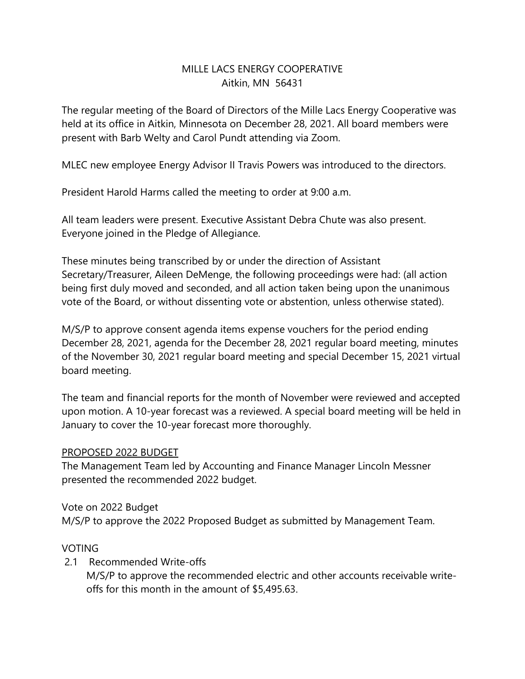# MILLE LACS ENERGY COOPERATIVE Aitkin, MN 56431

The regular meeting of the Board of Directors of the Mille Lacs Energy Cooperative was held at its office in Aitkin, Minnesota on December 28, 2021. All board members were present with Barb Welty and Carol Pundt attending via Zoom.

MLEC new employee Energy Advisor II Travis Powers was introduced to the directors.

President Harold Harms called the meeting to order at 9:00 a.m.

All team leaders were present. Executive Assistant Debra Chute was also present. Everyone joined in the Pledge of Allegiance.

These minutes being transcribed by or under the direction of Assistant Secretary/Treasurer, Aileen DeMenge, the following proceedings were had: (all action being first duly moved and seconded, and all action taken being upon the unanimous vote of the Board, or without dissenting vote or abstention, unless otherwise stated).

M/S/P to approve consent agenda items expense vouchers for the period ending December 28, 2021, agenda for the December 28, 2021 regular board meeting, minutes of the November 30, 2021 regular board meeting and special December 15, 2021 virtual board meeting.

The team and financial reports for the month of November were reviewed and accepted upon motion. A 10-year forecast was a reviewed. A special board meeting will be held in January to cover the 10-year forecast more thoroughly.

#### PROPOSED 2022 BUDGET

The Management Team led by Accounting and Finance Manager Lincoln Messner presented the recommended 2022 budget.

#### Vote on 2022 Budget

M/S/P to approve the 2022 Proposed Budget as submitted by Management Team.

## VOTING

2.1 Recommended Write-offs

M/S/P to approve the recommended electric and other accounts receivable writeoffs for this month in the amount of \$5,495.63.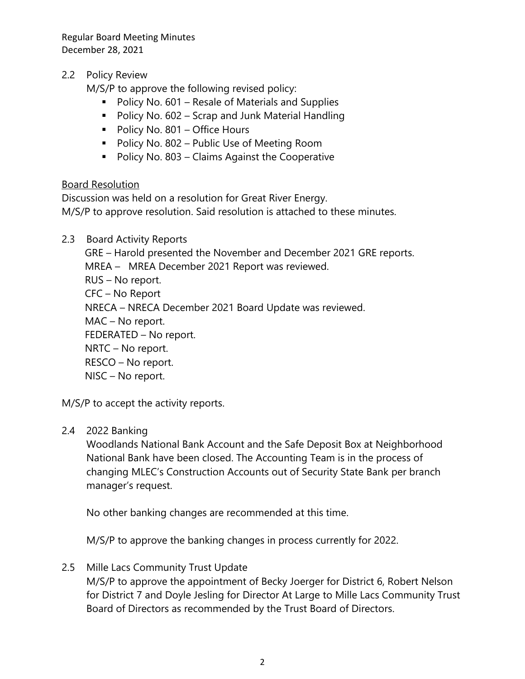Regular Board Meeting Minutes December 28, 2021

## 2.2 Policy Review

M/S/P to approve the following revised policy:

- Policy No. 601 Resale of Materials and Supplies
- Policy No. 602 Scrap and Junk Material Handling
- Policy No. 801 Office Hours
- Policy No. 802 Public Use of Meeting Room
- Policy No. 803 Claims Against the Cooperative

## Board Resolution

Discussion was held on a resolution for Great River Energy. M/S/P to approve resolution. Said resolution is attached to these minutes.

# 2.3 Board Activity Reports

GRE – Harold presented the November and December 2021 GRE reports. MREA – MREA December 2021 Report was reviewed. RUS – No report. CFC – No Report NRECA – NRECA December 2021 Board Update was reviewed. MAC – No report. FEDERATED – No report. NRTC – No report. RESCO – No report. NISC – No report.

M/S/P to accept the activity reports.

## 2.4 2022 Banking

Woodlands National Bank Account and the Safe Deposit Box at Neighborhood National Bank have been closed. The Accounting Team is in the process of changing MLEC's Construction Accounts out of Security State Bank per branch manager's request.

No other banking changes are recommended at this time.

M/S/P to approve the banking changes in process currently for 2022.

2.5 Mille Lacs Community Trust Update

M/S/P to approve the appointment of Becky Joerger for District 6, Robert Nelson for District 7 and Doyle Jesling for Director At Large to Mille Lacs Community Trust Board of Directors as recommended by the Trust Board of Directors.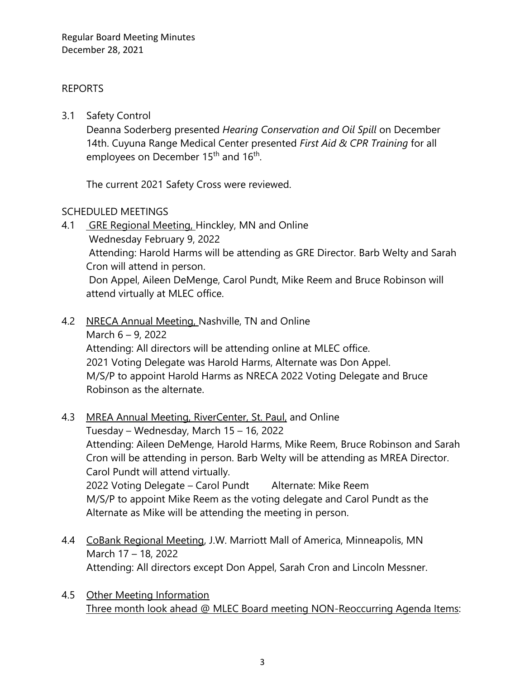Regular Board Meeting Minutes December 28, 2021

## REPORTS

3.1 Safety Control

Deanna Soderberg presented *Hearing Conservation and Oil Spill* on December 14th. Cuyuna Range Medical Center presented *First Aid & CPR Training* for all employees on December 15<sup>th</sup> and 16<sup>th</sup>.

The current 2021 Safety Cross were reviewed.

# SCHEDULED MEETINGS

4.1 GRE Regional Meeting, Hinckley, MN and Online Wednesday February 9, 2022 Attending: Harold Harms will be attending as GRE Director. Barb Welty and Sarah Cron will attend in person. Don Appel, Aileen DeMenge, Carol Pundt, Mike Reem and Bruce Robinson will attend virtually at MLEC office.

4.2 NRECA Annual Meeting, Nashville, TN and Online March 6 – 9, 2022 Attending: All directors will be attending online at MLEC office. 2021 Voting Delegate was Harold Harms, Alternate was Don Appel. M/S/P to appoint Harold Harms as NRECA 2022 Voting Delegate and Bruce Robinson as the alternate.

- 4.3 MREA Annual Meeting, RiverCenter, St. Paul, and Online Tuesday – Wednesday, March 15 – 16, 2022 Attending: Aileen DeMenge, Harold Harms, Mike Reem, Bruce Robinson and Sarah Cron will be attending in person. Barb Welty will be attending as MREA Director. Carol Pundt will attend virtually. 2022 Voting Delegate – Carol Pundt Alternate: Mike Reem M/S/P to appoint Mike Reem as the voting delegate and Carol Pundt as the Alternate as Mike will be attending the meeting in person.
- 4.4 CoBank Regional Meeting, J.W. Marriott Mall of America, Minneapolis, MN March 17 – 18, 2022 Attending: All directors except Don Appel, Sarah Cron and Lincoln Messner.
- 4.5 Other Meeting Information Three month look ahead @ MLEC Board meeting NON-Reoccurring Agenda Items: